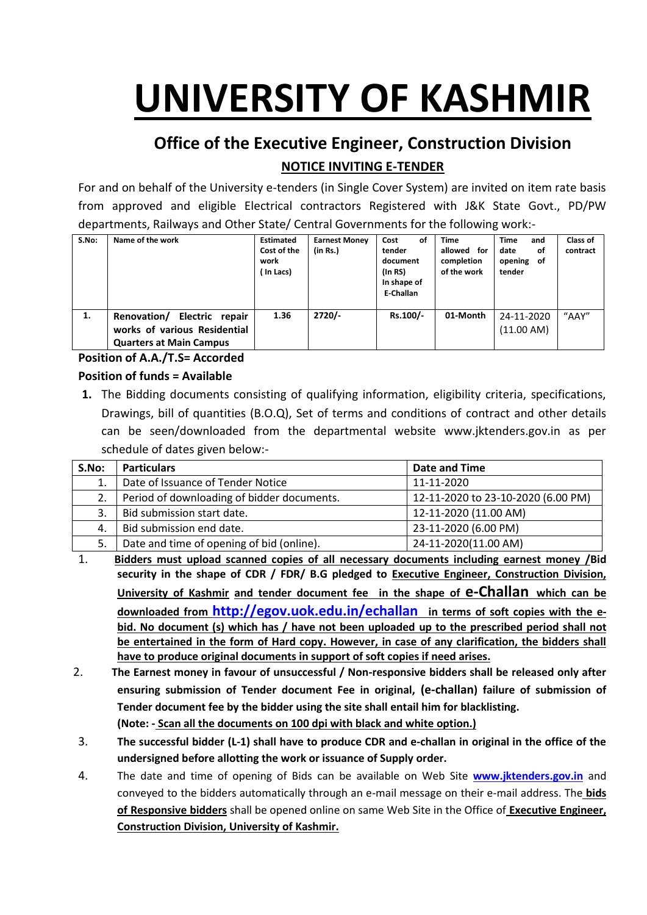# **UNIVERSITY OF KASHMIR**

## **Office of the Executive Engineer, Construction Division NOTICE INVITING E-TENDER**

For and on behalf of the University e-tenders (in Single Cover System) are invited on item rate basis from approved and eligible Electrical contractors Registered with J&K State Govt., PD/PW departments, Railways and Other State/ Central Governments for the following work:-

| S.No: | Name of the work                                                                              | <b>Estimated</b><br>Cost of the<br>work<br>In Lacs) | <b>Earnest Money</b><br>(in Rs.) | Cost<br>οf<br>tender<br>document<br>(In RS)<br>In shape of<br>E-Challan | <b>Time</b><br>allowed for<br>completion<br>of the work | <b>Time</b><br>and<br>date<br>οf<br>opening of<br>tender | Class of<br>contract |
|-------|-----------------------------------------------------------------------------------------------|-----------------------------------------------------|----------------------------------|-------------------------------------------------------------------------|---------------------------------------------------------|----------------------------------------------------------|----------------------|
| 1.    | Renovation/ Electric repair<br>works of various Residential<br><b>Quarters at Main Campus</b> | 1.36                                                | $2720/-$                         | Rs.100/-                                                                | 01-Month                                                | 24-11-2020<br>(11.00 AM)                                 | "AAY"                |

## **Position of A.A./T.S= Accorded**

#### **Position of funds = Available**

**1.** The Bidding documents consisting of qualifying information, eligibility criteria, specifications, Drawings, bill of quantities (B.O.Q), Set of terms and conditions of contract and other details can be seen/downloaded from the departmental website www.jktenders.gov.in as per schedule of dates given below:-

| S.No: | <b>Particulars</b>                         | Date and Time                      |
|-------|--------------------------------------------|------------------------------------|
| 1.    | Date of Issuance of Tender Notice          | 11-11-2020                         |
| 2.    | Period of downloading of bidder documents. | 12-11-2020 to 23-10-2020 (6.00 PM) |
| 3.    | Bid submission start date.                 | 12-11-2020 (11.00 AM)              |
| 4.    | Bid submission end date.                   | 23-11-2020 (6.00 PM)               |
| 5.    | Date and time of opening of bid (online).  | 24-11-2020(11.00 AM)               |

- 1. **Bidders must upload scanned copies of all necessary documents including earnest money /Bid security in the shape of CDR / FDR/ B.G pledged to Executive Engineer, Construction Division, University of Kashmir and tender document fee in the shape of e-Challan which can be downloaded from <http://egov.uok.edu.in/echallan> in terms of soft copies with the ebid. No document (s) which has / have not been uploaded up to the prescribed period shall not be entertained in the form of Hard copy. However, in case of any clarification, the bidders shall have to produce original documents in support of soft copies if need arises.**
- 2. **The Earnest money in favour of unsuccessful / Non-responsive bidders shall be released only after ensuring submission of Tender document Fee in original, (e-challan) failure of submission of Tender document fee by the bidder using the site shall entail him for blacklisting. (Note: - Scan all the documents on 100 dpi with black and white option.)**
- 3. **The successful bidder (L-1) shall have to produce CDR and e-challan in original in the office of the undersigned before allotting the work or issuance of Supply order.**
- 4. The date and time of opening of Bids can be available on Web Site **[www.jktenders.gov.in](http://www.pmgsytendersjk.gov.in/)** and conveyed to the bidders automatically through an e-mail message on their e-mail address. The **bids of Responsive bidders** shall be opened online on same Web Site in the Office of **Executive Engineer, Construction Division, University of Kashmir.**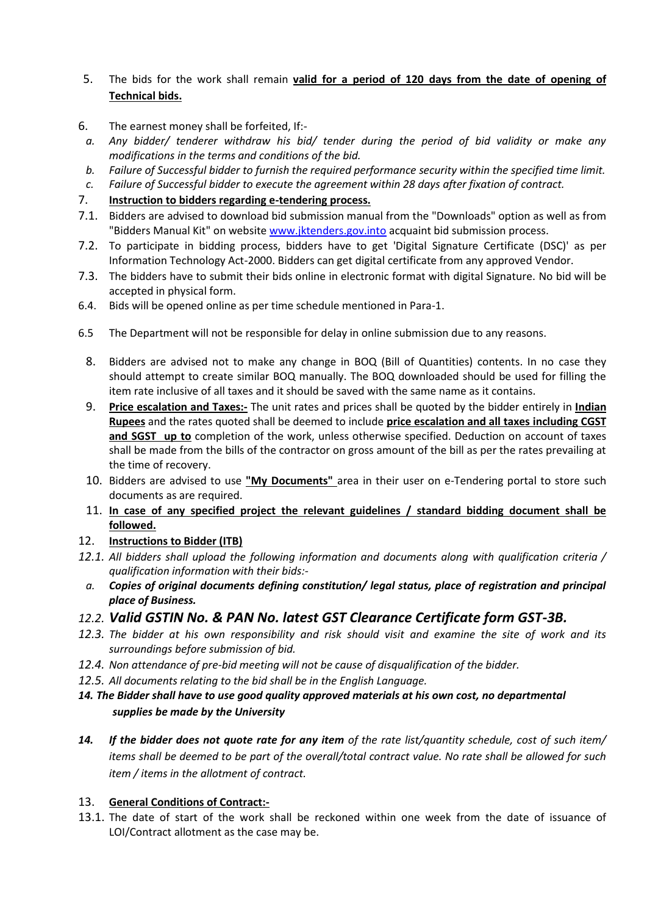#### 5. The bids for the work shall remain **valid for a period of 120 days from the date of opening of Technical bids.**

- 6. The earnest money shall be forfeited, If:-
- *a. Any bidder/ tenderer withdraw his bid/ tender during the period of bid validity or make any modifications in the terms and conditions of the bid.*
- *b. Failure of Successful bidder to furnish the required performance security within the specified time limit.*
- *c. Failure of Successful bidder to execute the agreement within 28 days after fixation of contract.*
- 7. **Instruction to bidders regarding e-tendering process.**
- 7.1. Bidders are advised to download bid submission manual from the "Downloads" option as well as from "Bidders Manual Kit" on website [www.jktenders.gov.into](http://www.pmgsytendersjk.gov.into/) acquaint bid submission process.
- 7.2. To participate in bidding process, bidders have to get 'Digital Signature Certificate (DSC)' as per Information Technology Act-2000. Bidders can get digital certificate from any approved Vendor.
- 7.3. The bidders have to submit their bids online in electronic format with digital Signature. No bid will be accepted in physical form.
- 6.4. Bids will be opened online as per time schedule mentioned in Para-1.
- 6.5 The Department will not be responsible for delay in online submission due to any reasons.
	- 8. Bidders are advised not to make any change in BOQ (Bill of Quantities) contents. In no case they should attempt to create similar BOQ manually. The BOQ downloaded should be used for filling the item rate inclusive of all taxes and it should be saved with the same name as it contains.
	- 9. **Price escalation and Taxes:-** The unit rates and prices shall be quoted by the bidder entirely in **Indian Rupees** and the rates quoted shall be deemed to include **price escalation and all taxes including CGST and SGST up to** completion of the work, unless otherwise specified. Deduction on account of taxes shall be made from the bills of the contractor on gross amount of the bill as per the rates prevailing at the time of recovery.
	- 10. Bidders are advised to use **"My Documents"** area in their user on e-Tendering portal to store such documents as are required.
	- 11. **In case of any specified project the relevant guidelines / standard bidding document shall be followed.**

#### 12. **Instructions to Bidder (ITB)**

- *12.1. All bidders shall upload the following information and documents along with qualification criteria / qualification information with their bids:-*
- *a. Copies of original documents defining constitution/ legal status, place of registration and principal place of Business.*

#### *12.2. Valid GSTIN No. & PAN No. latest GST Clearance Certificate form GST-3B.*

- *12.3. The bidder at his own responsibility and risk should visit and examine the site of work and its surroundings before submission of bid.*
- *12.4. Non attendance of pre-bid meeting will not be cause of disqualification of the bidder.*
- *12.5. All documents relating to the bid shall be in the English Language.*
- *14. The Bidder shall have to use good quality approved materials at his own cost, no departmental supplies be made by the University*
- *14. If the bidder does not quote rate for any item of the rate list/quantity schedule, cost of such item/ items shall be deemed to be part of the overall/total contract value. No rate shall be allowed for such item / items in the allotment of contract.*

#### 13. **General Conditions of Contract:-**

13.1. The date of start of the work shall be reckoned within one week from the date of issuance of LOI/Contract allotment as the case may be.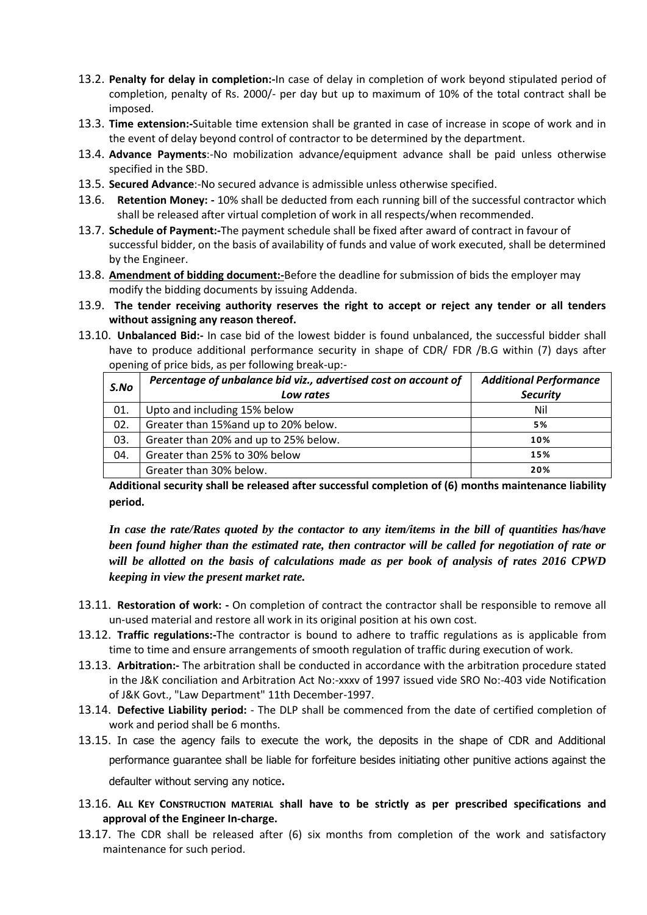- 13.2. **Penalty for delay in completion:-**In case of delay in completion of work beyond stipulated period of completion, penalty of Rs. 2000/- per day but up to maximum of 10% of the total contract shall be imposed.
- 13.3. **Time extension:-**Suitable time extension shall be granted in case of increase in scope of work and in the event of delay beyond control of contractor to be determined by the department.
- 13.4. **Advance Payments**:-No mobilization advance/equipment advance shall be paid unless otherwise specified in the SBD.
- 13.5. **Secured Advance**:-No secured advance is admissible unless otherwise specified.
- 13.6. **Retention Money: -** 10% shall be deducted from each running bill of the successful contractor which shall be released after virtual completion of work in all respects/when recommended.
- 13.7. **Schedule of Payment:-**The payment schedule shall be fixed after award of contract in favour of successful bidder, on the basis of availability of funds and value of work executed, shall be determined by the Engineer.
- 13.8. **Amendment of bidding document:-**Before the deadline for submission of bids the employer may modify the bidding documents by issuing Addenda.
- 13.9. **The tender receiving authority reserves the right to accept or reject any tender or all tenders without assigning any reason thereof.**
- 13.10. **Unbalanced Bid:-** In case bid of the lowest bidder is found unbalanced, the successful bidder shall have to produce additional performance security in shape of CDR/ FDR /B.G within (7) days after opening of price bids, as per following break-up:-

| S.No | Percentage of unbalance bid viz., advertised cost on account of | <b>Additional Performance</b> |
|------|-----------------------------------------------------------------|-------------------------------|
|      | Low rates                                                       | <b>Security</b>               |
| 01.  | Upto and including 15% below                                    | Nil                           |
| 02.  | Greater than 15% and up to 20% below.                           | 5%                            |
| 03.  | Greater than 20% and up to 25% below.                           | 10%                           |
| 04.  | Greater than 25% to 30% below                                   | 15%                           |
|      | Greater than 30% below.                                         | 20%                           |

**Additional security shall be released after successful completion of (6) months maintenance liability period.**

*In case the rate/Rates quoted by the contactor to any item/items in the bill of quantities has/have been found higher than the estimated rate, then contractor will be called for negotiation of rate or will be allotted on the basis of calculations made as per book of analysis of rates 2016 CPWD keeping in view the present market rate.* 

- 13.11. **Restoration of work: -** On completion of contract the contractor shall be responsible to remove all un-used material and restore all work in its original position at his own cost.
- 13.12. **Traffic regulations:-**The contractor is bound to adhere to traffic regulations as is applicable from time to time and ensure arrangements of smooth regulation of traffic during execution of work.
- 13.13. **Arbitration:-** The arbitration shall be conducted in accordance with the arbitration procedure stated in the J&K conciliation and Arbitration Act No:-xxxv of 1997 issued vide SRO No:-403 vide Notification of J&K Govt., "Law Department" 11th December-1997.
- 13.14. **Defective Liability period:** The DLP shall be commenced from the date of certified completion of work and period shall be 6 months.
- 13.15. In case the agency fails to execute the work, the deposits in the shape of CDR and Additional performance guarantee shall be liable for forfeiture besides initiating other punitive actions against the defaulter without serving any notice.
- 13.16. **ALL KEY CONSTRUCTION MATERIAL shall have to be strictly as per prescribed specifications and approval of the Engineer In-charge.**
- 13.17. The CDR shall be released after (6) six months from completion of the work and satisfactory maintenance for such period.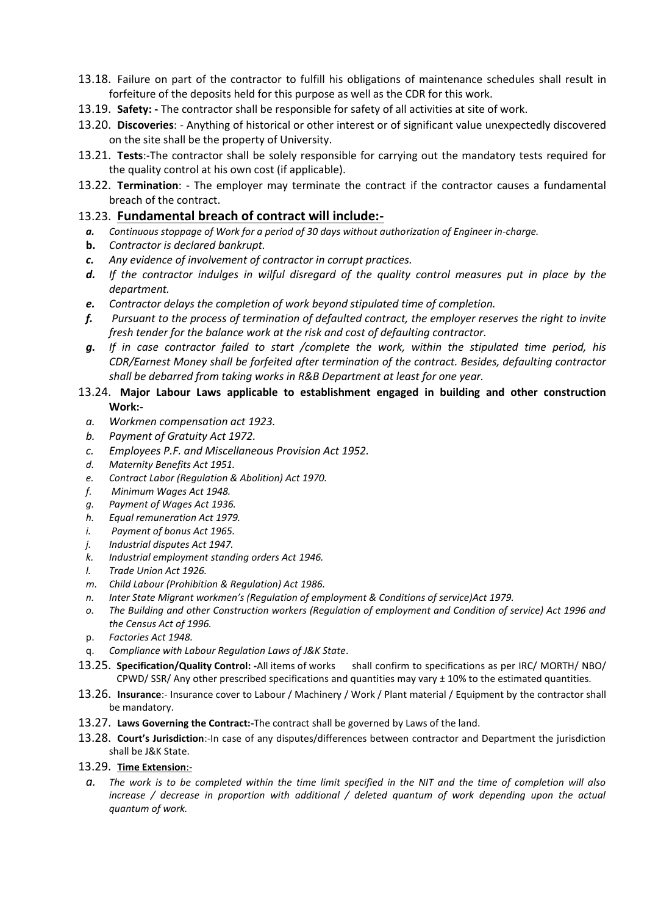- 13.18. Failure on part of the contractor to fulfill his obligations of maintenance schedules shall result in forfeiture of the deposits held for this purpose as well as the CDR for this work.
- 13.19. **Safety: -** The contractor shall be responsible for safety of all activities at site of work.
- 13.20. **Discoveries**: Anything of historical or other interest or of significant value unexpectedly discovered on the site shall be the property of University.
- 13.21. **Tests**:-The contractor shall be solely responsible for carrying out the mandatory tests required for the quality control at his own cost (if applicable).
- 13.22. **Termination**: The employer may terminate the contract if the contractor causes a fundamental breach of the contract.

#### 13.23. **Fundamental breach of contract will include:-**

- *a. Continuous stoppage of Work for a period of 30 days without authorization of Engineer in-charge.*
- **b.** *Contractor is declared bankrupt.*
- *c. Any evidence of involvement of contractor in corrupt practices.*
- *d. If the contractor indulges in wilful disregard of the quality control measures put in place by the department.*
- *e. Contractor delays the completion of work beyond stipulated time of completion.*
- *f. Pursuant to the process of termination of defaulted contract, the employer reserves the right to invite fresh tender for the balance work at the risk and cost of defaulting contractor.*
- *g. If in case contractor failed to start /complete the work, within the stipulated time period, his CDR/Earnest Money shall be forfeited after termination of the contract. Besides, defaulting contractor shall be debarred from taking works in R&B Department at least for one year.*

#### 13.24. **Major Labour Laws applicable to establishment engaged in building and other construction Work:-**

- *a. Workmen compensation act 1923.*
- *b. Payment of Gratuity Act 1972.*
- *c. Employees P.F. and Miscellaneous Provision Act 1952.*
- *d. Maternity Benefits Act 1951.*
- *e. Contract Labor (Regulation & Abolition) Act 1970.*
- *f. Minimum Wages Act 1948.*
- *g. Payment of Wages Act 1936.*
- *h. Equal remuneration Act 1979.*
- *i. Payment of bonus Act 1965.*
- *j. Industrial disputes Act 1947.*
- *k. Industrial employment standing orders Act 1946.*
- *l. Trade Union Act 1926.*
- *m. Child Labour (Prohibition & Regulation) Act 1986.*
- *n. Inter State Migrant workmen's (Regulation of employment & Conditions of service)Act 1979.*
- *o. The Building and other Construction workers (Regulation of employment and Condition of service) Act 1996 and the Census Act of 1996.*
- p. *Factories Act 1948.*
- q. *Compliance with Labour Regulation Laws of J&K State*.
- 13.25. **Specification/Quality Control: -**All items of works shall confirm to specifications as per IRC/ MORTH/ NBO/ CPWD/ SSR/ Any other prescribed specifications and quantities may vary  $\pm$  10% to the estimated quantities.
- 13.26. **Insurance**:- Insurance cover to Labour / Machinery / Work / Plant material / Equipment by the contractor shall be mandatory.
- 13.27. **Laws Governing the Contract:-**The contract shall be governed by Laws of the land.
- 13.28. **Court's Jurisdiction**:-In case of any disputes/differences between contractor and Department the jurisdiction shall be J&K State.

#### 13.29. **Time Extension**:-

*a. The work is to be completed within the time limit specified in the NIT and the time of completion will also increase / decrease in proportion with additional / deleted quantum of work depending upon the actual quantum of work.*